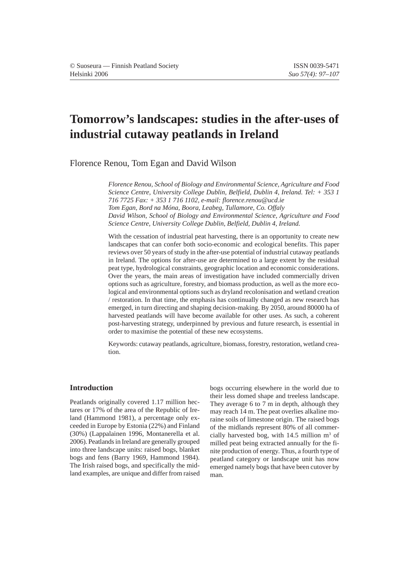# **Tomorrow's landscapes: studies in the after-uses of industrial cutaway peatlands in Ireland**

Florence Renou, Tom Egan and David Wilson

*Florence Renou, School of Biology and Environmental Science, Agriculture and Food Science Centre, University College Dublin, Belfield, Dublin 4, Ireland. Tel: + 353 1 716 7725 Fax: + 353 1 716 1102, e-mail: florence.renou@ucd.ie Tom Egan, Bord na Móna, Boora, Leabeg, Tullamore, Co. Offaly David Wilson, School of Biology and Environmental Science, Agriculture and Food Science Centre, University College Dublin, Belfield, Dublin 4, Ireland.*

With the cessation of industrial peat harvesting, there is an opportunity to create new landscapes that can confer both socio-economic and ecological benefits. This paper reviews over 50 years of study in the after-use potential of industrial cutaway peatlands in Ireland. The options for after-use are determined to a large extent by the residual peat type, hydrological constraints, geographic location and economic considerations. Over the years, the main areas of investigation have included commercially driven options such as agriculture, forestry, and biomass production, as well as the more ecological and environmental options such as dryland recolonisation and wetland creation / restoration. In that time, the emphasis has continually changed as new research has emerged, in turn directing and shaping decision-making. By 2050, around 80000 ha of harvested peatlands will have become available for other uses. As such, a coherent post-harvesting strategy, underpinned by previous and future research, is essential in order to maximise the potential of these new ecosystems.

Keywords: cutaway peatlands, agriculture, biomass, forestry, restoration, wetland creation.

# **Introduction**

Peatlands originally covered 1.17 million hectares or 17% of the area of the Republic of Ireland (Hammond 1981), a percentage only exceeded in Europe by Estonia (22%) and Finland (30%) (Lappalainen 1996, Montanerella et al. 2006). Peatlands in Ireland are generally grouped into three landscape units: raised bogs, blanket bogs and fens (Barry 1969, Hammond 1984). The Irish raised bogs, and specifically the midland examples, are unique and differ from raised bogs occurring elsewhere in the world due to their less domed shape and treeless landscape. They average 6 to 7 m in depth, although they may reach 14 m. The peat overlies alkaline moraine soils of limestone origin. The raised bogs of the midlands represent 80% of all commercially harvested bog, with  $14.5$  million  $m<sup>3</sup>$  of milled peat being extracted annually for the finite production of energy. Thus, a fourth type of peatland category or landscape unit has now emerged namely bogs that have been cutover by man.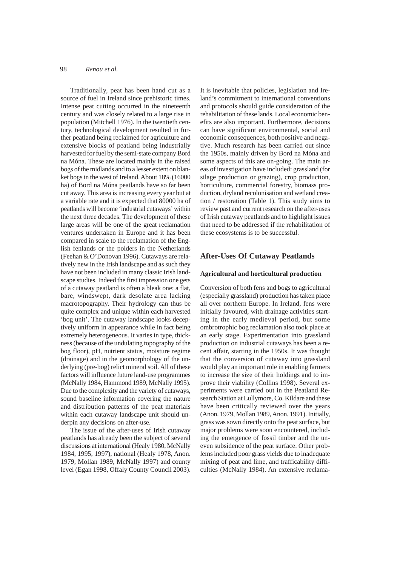Traditionally, peat has been hand cut as a source of fuel in Ireland since prehistoric times. Intense peat cutting occurred in the nineteenth century and was closely related to a large rise in population (Mitchell 1976). In the twentieth century, technological development resulted in further peatland being reclaimed for agriculture and extensive blocks of peatland being industrially harvested for fuel by the semi-state company Bord na Móna. These are located mainly in the raised bogs of the midlands and to a lesser extent on blanket bogs in the west of Ireland. About 18% (16000 ha) of Bord na Móna peatlands have so far been cut away. This area is increasing every year but at a variable rate and it is expected that 80000 ha of peatlands will become 'industrial cutaways' within the next three decades. The development of these large areas will be one of the great reclamation ventures undertaken in Europe and it has been compared in scale to the reclamation of the English fenlands or the polders in the Netherlands (Feehan & O'Donovan 1996). Cutaways are relatively new in the Irish landscape and as such they have not been included in many classic Irish landscape studies. Indeed the first impression one gets of a cutaway peatland is often a bleak one: a flat, bare, windswept, dark desolate area lacking macrotopography. Their hydrology can thus be quite complex and unique within each harvested 'bog unit'. The cutaway landscape looks deceptively uniform in appearance while in fact being extremely heterogeneous. It varies in type, thickness (because of the undulating topography of the bog floor), pH, nutrient status, moisture regime (drainage) and in the geomorphology of the underlying (pre-bog) relict mineral soil. All of these factors will influence future land-use programmes (McNally 1984, Hammond 1989, McNally 1995). Due to the complexity and the variety of cutaways, sound baseline information covering the nature and distribution patterns of the peat materials within each cutaway landscape unit should underpin any decisions on after-use.

The issue of the after-uses of Irish cutaway peatlands has already been the subject of several discussions at international (Healy 1980, McNally 1984, 1995, 1997), national (Healy 1978, Anon. 1979, Mollan 1989, McNally 1997) and county level (Egan 1998, Offaly County Council 2003). It is inevitable that policies, legislation and Ireland's commitment to international conventions and protocols should guide consideration of the rehabilitation of these lands. Local economic benefits are also important. Furthermore, decisions can have significant environmental, social and economic consequences, both positive and negative. Much research has been carried out since the 1950s, mainly driven by Bord na Móna and some aspects of this are on-going. The main areas of investigation have included: grassland (for silage production or grazing), crop production, horticulture, commercial forestry, biomass production, dryland recolonisation and wetland creation / restoration (Table 1). This study aims to review past and current research on the after-uses of Irish cutaway peatlands and to highlight issues that need to be addressed if the rehabilitation of these ecosystems is to be successful.

# **After-Uses Of Cutaway Peatlands**

## **Agricultural and horticultural production**

Conversion of both fens and bogs to agricultural (especially grassland) production has taken place all over northern Europe. In Ireland, fens were initially favoured, with drainage activities starting in the early medieval period, but some ombrotrophic bog reclamation also took place at an early stage. Experimentation into grassland production on industrial cutaways has been a recent affair, starting in the 1950s. It was thought that the conversion of cutaway into grassland would play an important role in enabling farmers to increase the size of their holdings and to improve their viability (Collins 1998). Several experiments were carried out in the Peatland Research Station at Lullymore, Co. Kildare and these have been critically reviewed over the years (Anon. 1979, Mollan 1989, Anon. 1991). Initially, grass was sown directly onto the peat surface, but major problems were soon encountered, including the emergence of fossil timber and the uneven subsidence of the peat surface. Other problems included poor grass yields due to inadequate mixing of peat and lime, and trafficability difficulties (McNally 1984). An extensive reclama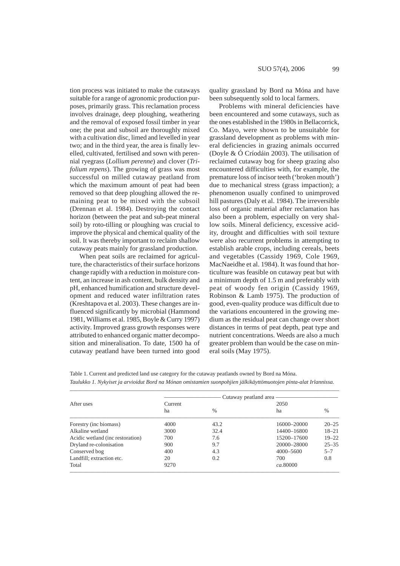tion process was initiated to make the cutaways suitable for a range of agronomic production purposes, primarily grass. This reclamation process involves drainage, deep ploughing, weathering and the removal of exposed fossil timber in year one; the peat and subsoil are thoroughly mixed with a cultivation disc, limed and levelled in year two; and in the third year, the area is finally levelled, cultivated, fertilised and sown with perennial ryegrass (*Lollium perenne*) and clover (*Trifolium repens*). The growing of grass was most successful on milled cutaway peatland from which the maximum amount of peat had been removed so that deep ploughing allowed the remaining peat to be mixed with the subsoil (Drennan et al. 1984). Destroying the contact horizon (between the peat and sub-peat mineral soil) by roto-tilling or ploughing was crucial to improve the physical and chemical quality of the soil. It was thereby important to reclaim shallow cutaway peats mainly for grassland production.

When peat soils are reclaimed for agriculture, the characteristics of their surface horizons change rapidly with a reduction in moisture content, an increase in ash content, bulk density and pH, enhanced humification and structure development and reduced water infiltration rates (Kreshtapova et al. 2003). These changes are influenced significantly by microbial (Hammond 1981, Williams et al. 1985, Boyle & Curry 1997) activity. Improved grass growth responses were attributed to enhanced organic matter decomposition and mineralisation. To date, 1500 ha of cutaway peatland have been turned into good

quality grassland by Bord na Móna and have been subsequently sold to local farmers.

Problems with mineral deficiencies have been encountered and some cutaways, such as the ones established in the 1980s in Bellacorrick, Co. Mayo, were shown to be unsuitable for grassland development as problems with mineral deficiencies in grazing animals occurred (Doyle & Ó Críodáin 2003). The utilisation of reclaimed cutaway bog for sheep grazing also encountered difficulties with, for example, the premature loss of incisor teeth ('broken mouth') due to mechanical stress (grass impaction); a phenomenon usually confined to unimproved hill pastures (Daly et al. 1984). The irreversible loss of organic material after reclamation has also been a problem, especially on very shallow soils. Mineral deficiency, excessive acidity, drought and difficulties with soil texture were also recurrent problems in attempting to establish arable crops, including cereals, beets and vegetables (Cassidy 1969, Cole 1969, MacNaeidhe et al. 1984). It was found that horticulture was feasible on cutaway peat but with a minimum depth of 1.5 m and preferably with peat of woody fen origin (Cassidy 1969, Robinson & Lamb 1975). The production of good, even-quality produce was difficult due to the variations encountered in the growing medium as the residual peat can change over short distances in terms of peat depth, peat type and nutrient concentrations. Weeds are also a much greater problem than would be the case on mineral soils (May 1975).

Table 1. Current and predicted land use category for the cutaway peatlands owned by Bord na Móna. *Taulukko 1. Nykyiset ja arvioidut Bord na Mónan omistamien suonpohjien jälkikäyttömuotojen pinta-alat Irlannissa.*

| After uses                       | Cutaway peatland area — |      |             |           |
|----------------------------------|-------------------------|------|-------------|-----------|
|                                  | Current                 |      | 2050        |           |
|                                  | ha                      | $\%$ | ha          | $\%$      |
| Forestry (inc biomass)           | 4000                    | 43.2 | 16000-20000 | $20 - 25$ |
| Alkaline wetland                 | 3000                    | 32.4 | 14400-16800 | $18 - 21$ |
| Acidic wetland (inc restoration) | 700                     | 7.6  | 15200-17600 | $19 - 22$ |
| Dryland re-colonisation          | 900                     | 9.7  | 20000-28000 | $25 - 35$ |
| Conserved bog                    | 400                     | 4.3  | 4000-5600   | $5 - 7$   |
| Landfill; extraction etc.        | 20                      | 0.2  | 700         | 0.8       |
| Total                            | 9270                    |      | ca.80000    |           |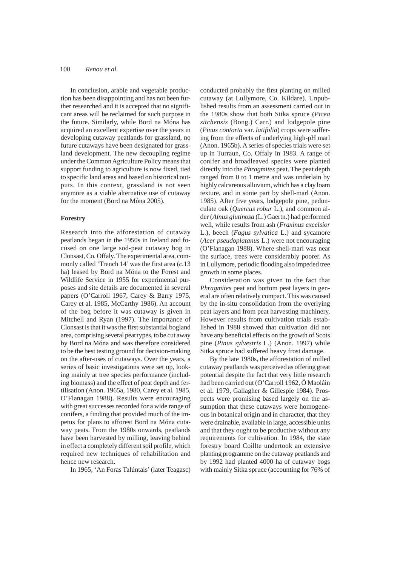In conclusion, arable and vegetable production has been disappointing and has not been further researched and it is accepted that no significant areas will be reclaimed for such purpose in the future. Similarly, while Bord na Móna has acquired an excellent expertise over the years in developing cutaway peatlands for grassland, no future cutaways have been designated for grassland development. The new decoupling regime under the Common Agriculture Policy means that support funding to agriculture is now fixed, tied to specific land areas and based on historical outputs. In this context, grassland is not seen anymore as a viable alternative use of cutaway for the moment (Bord na Móna 2005).

## **Forestry**

Research into the afforestation of cutaway peatlands began in the 1950s in Ireland and focused on one large sod-peat cutaway bog in Clonsast, Co. Offaly. The experimental area, commonly called 'Trench 14' was the first area (*c.*13 ha) leased by Bord na Móna to the Forest and Wildlife Service in 1955 for experimental purposes and site details are documented in several papers (O'Carroll 1967, Carey & Barry 1975, Carey et al. 1985, McCarthy 1986). An account of the bog before it was cutaway is given in Mitchell and Ryan (1997). The importance of Clonsast is that it was the first substantial bogland area, comprising several peat types, to be cut away by Bord na Móna and was therefore considered to be the best testing ground for decision-making on the after-uses of cutaways. Over the years, a series of basic investigations were set up, looking mainly at tree species performance (including biomass) and the effect of peat depth and fertilisation (Anon. 1965a, 1980, Carey et al*.* 1985, O'Flanagan 1988). Results were encouraging with great successes recorded for a wide range of conifers, a finding that provided much of the impetus for plans to afforest Bord na Móna cutaway peats. From the 1980s onwards, peatlands have been harvested by milling, leaving behind in effect a completely different soil profile, which required new techniques of rehabilitation and hence new research.

In 1965, 'An Foras Talúntais' (later Teagasc)

conducted probably the first planting on milled cutaway (at Lullymore, Co. Kildare). Unpublished results from an assessment carried out in the 1980s show that both Sitka spruce (*Picea sitchensis* (Bong.) Carr.) and lodgepole pine (*Pinus contorta* var. *latifolia*) crops were suffering from the effects of underlying high-pH marl (Anon. 1965b). A series of species trials were set up in Turraun, Co. Offaly in 1983. A range of conifer and broadleaved species were planted directly into the *Phragmites* peat. The peat depth ranged from 0 to 1 metre and was underlain by highly calcareous alluvium, which has a clay loam texture, and in some part by shell-marl (Anon. 1985). After five years, lodgepole pine, pedunculate oak (*Quercus robur* L.), and common alder (*Alnus glutinosa* (L.) Gaertn.) had performed well, while results from ash (*Fraxinus excelsior* L.), beech (*Fagus sylvatica* L.) and sycamore (*Acer pseudoplatanus* L.) were not encouraging (O'Flanagan 1988). Where shell-marl was near the surface, trees were considerably poorer. As in Lullymore, periodic flooding also impeded tree growth in some places.

Consideration was given to the fact that *Phragmites* peat and bottom peat layers in general are often relatively compact. This was caused by the in-situ consolidation from the overlying peat layers and from peat harvesting machinery. However results from cultivation trials established in 1988 showed that cultivation did not have any beneficial effects on the growth of Scots pine (*Pinus sylvestris* L.) (Anon. 1997) while Sitka spruce had suffered heavy frost damage.

By the late 1980s, the afforestation of milled cutaway peatlands was perceived as offering great potential despite the fact that very little research had been carried out (O'Carroll 1962, Ó Maoláin et al. 1979, Gallagher & Gillespie 1984). Prospects were promising based largely on the assumption that these cutaways were homogeneous in botanical origin and in character, that they were drainable, available in large, accessible units and that they ought to be productive without any requirements for cultivation. In 1984, the state forestry board Coillte undertook an extensive planting programme on the cutaway peatlands and by 1992 had planted 4000 ha of cutaway bogs with mainly Sitka spruce (accounting for 76% of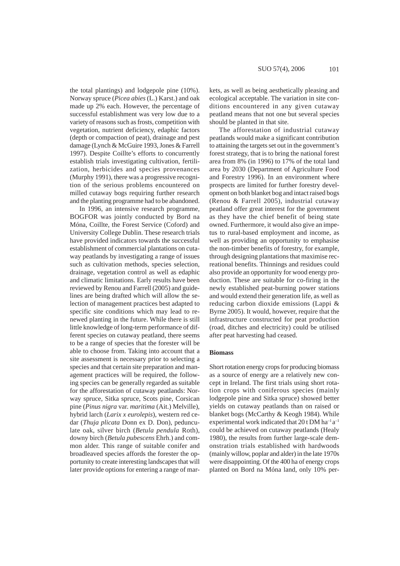the total plantings) and lodgepole pine (10%). Norway spruce (*Picea abies* (L.) Karst.) and oak made up 2% each. However, the percentage of successful establishment was very low due to a variety of reasons such as frosts, competition with vegetation, nutrient deficiency, edaphic factors (depth or compaction of peat), drainage and pest damage (Lynch & McGuire 1993, Jones & Farrell 1997). Despite Coillte's efforts to concurrently establish trials investigating cultivation, fertilization, herbicides and species provenances (Murphy 1991), there was a progressive recognition of the serious problems encountered on milled cutaway bogs requiring further research and the planting programme had to be abandoned.

In 1996, an intensive research programme, BOGFOR was jointly conducted by Bord na Móna, Coillte, the Forest Service (Coford) and University College Dublin. These research trials have provided indicators towards the successful establishment of commercial plantations on cutaway peatlands by investigating a range of issues such as cultivation methods, species selection, drainage, vegetation control as well as edaphic and climatic limitations. Early results have been reviewed by Renou and Farrell (2005) and guidelines are being drafted which will allow the selection of management practices best adapted to specific site conditions which may lead to renewed planting in the future. While there is still little knowledge of long-term performance of different species on cutaway peatland, there seems to be a range of species that the forester will be able to choose from. Taking into account that a site assessment is necessary prior to selecting a species and that certain site preparation and management practices will be required, the following species can be generally regarded as suitable for the afforestation of cutaway peatlands: Norway spruce, Sitka spruce, Scots pine, Corsican pine (*Pinus nigra* var. *maritima* (Ait.) Melville), hybrid larch (*Larix x eurolepis*), western red cedar (*Thuja plicata* Donn ex D. Don), pedunculate oak, silver birch (*Betula pendula* Roth), downy birch (*Betula pubescens* Ehrh.) and common alder. This range of suitable conifer and broadleaved species affords the forester the opportunity to create interesting landscapes that will later provide options for entering a range of markets, as well as being aesthetically pleasing and ecological acceptable. The variation in site conditions encountered in any given cutaway peatland means that not one but several species should be planted in that site.

The afforestation of industrial cutaway peatlands would make a significant contribution to attaining the targets set out in the government's forest strategy, that is to bring the national forest area from 8% (in 1996) to 17% of the total land area by 2030 (Department of Agriculture Food and Forestry 1996). In an environment where prospects are limited for further forestry development on both blanket bog and intact raised bogs (Renou & Farrell 2005), industrial cutaway peatland offer great interest for the government as they have the chief benefit of being state owned. Furthermore, it would also give an impetus to rural-based employment and income, as well as providing an opportunity to emphasise the non-timber benefits of forestry, for example, through designing plantations that maximise recreational benefits. Thinnings and residues could also provide an opportunity for wood energy production. These are suitable for co-firing in the newly established peat-burning power stations and would extend their generation life, as well as reducing carbon dioxide emissions (Lappi & Byrne 2005). It would, however, require that the infrastructure constructed for peat production (road, ditches and electricity) could be utilised after peat harvesting had ceased.

#### **Biomass**

Short rotation energy crops for producing biomass as a source of energy are a relatively new concept in Ireland. The first trials using short rotation crops with coniferous species (mainly lodgepole pine and Sitka spruce) showed better yields on cutaway peatlands than on raised or blanket bogs (McCarthy & Keogh 1984). While experimental work indicated that  $20$  t DM ha<sup>-1</sup> a<sup>-1</sup> could be achieved on cutaway peatlands (Healy 1980), the results from further large-scale demonstration trials established with hardwoods (mainly willow, poplar and alder) in the late 1970s were disappointing. Of the 400 ha of energy crops planted on Bord na Móna land, only 10% per-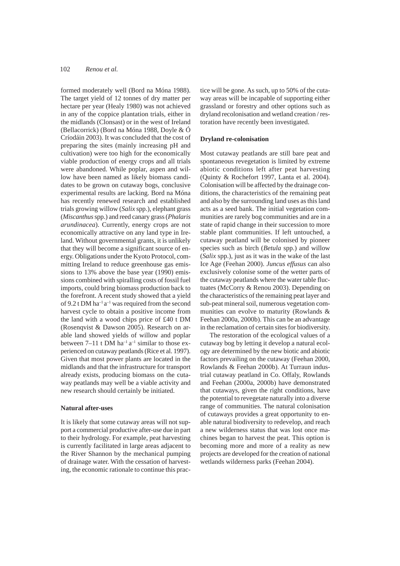formed moderately well (Bord na Móna 1988). The target yield of 12 tonnes of dry matter per hectare per year (Healy 1980) was not achieved in any of the coppice plantation trials, either in the midlands (Clonsast) or in the west of Ireland (Bellacorrick) (Bord na Móna 1988, Doyle & Ó Críodáin 2003). It was concluded that the cost of preparing the sites (mainly increasing pH and cultivation) were too high for the economically viable production of energy crops and all trials were abandoned. While poplar, aspen and willow have been named as likely biomass candidates to be grown on cutaway bogs, conclusive experimental results are lacking. Bord na Móna has recently renewed research and established trials growing willow (*Salix* spp.), elephant grass (*Miscanthus* spp.) and reed canary grass (*Phalaris arundinacea*). Currently, energy crops are not economically attractive on any land type in Ireland. Without governmental grants, it is unlikely that they will become a significant source of energy. Obligations under the Kyoto Protocol, committing Ireland to reduce greenhouse gas emissions to 13% above the base year (1990) emissions combined with spiralling costs of fossil fuel imports, could bring biomass production back to the forefront. A recent study showed that a yield of 9.2 t DM ha<sup>-1</sup> a<sup>-1</sup> was required from the second harvest cycle to obtain a positive income from the land with a wood chips price of £40 t DM (Rosenqvist & Dawson 2005). Research on arable land showed yields of willow and poplar between  $7-11$  t DM ha<sup>-1</sup> a<sup>-1</sup> similar to those experienced on cutaway peatlands (Rice et al. 1997). Given that most power plants are located in the midlands and that the infrastructure for transport already exists, producing biomass on the cutaway peatlands may well be a viable activity and new research should certainly be initiated.

## **Natural after-uses**

It is likely that some cutaway areas will not support a commercial productive after-use due in part to their hydrology. For example, peat harvesting is currently facilitated in large areas adjacent to the River Shannon by the mechanical pumping of drainage water. With the cessation of harvesting, the economic rationale to continue this practice will be gone. As such, up to 50% of the cutaway areas will be incapable of supporting either grassland or forestry and other options such as dryland recolonisation and wetland creation / restoration have recently been investigated.

## **Dryland re-colonisation**

Most cutaway peatlands are still bare peat and spontaneous revegetation is limited by extreme abiotic conditions left after peat harvesting (Quinty & Rochefort 1997, Lanta et al. 2004). Colonisation will be affected by the drainage conditions, the characteristics of the remaining peat and also by the surrounding land uses as this land acts as a seed bank. The initial vegetation communities are rarely bog communities and are in a state of rapid change in their succession to more stable plant communities. If left untouched, a cutaway peatland will be colonised by pioneer species such as birch (*Betula* spp.) and willow (*Salix* spp.), just as it was in the wake of the last Ice Age (Feehan 2000). *Juncus effusus* can also exclusively colonise some of the wetter parts of the cutaway peatlands where the water table fluctuates (McCorry & Renou 2003). Depending on the characteristics of the remaining peat layer and sub-peat mineral soil, numerous vegetation communities can evolve to maturity (Rowlands & Feehan 2000a, 2000b). This can be an advantage in the reclamation of certain sites for biodiversity.

The restoration of the ecological values of a cutaway bog by letting it develop a natural ecology are determined by the new biotic and abiotic factors prevailing on the cutaway (Feehan 2000, Rowlands & Feehan 2000b). At Turraun industrial cutaway peatland in Co. Offaly, Rowlands and Feehan (2000a, 2000b) have demonstrated that cutaways, given the right conditions, have the potential to revegetate naturally into a diverse range of communities. The natural colonisation of cutaways provides a great opportunity to enable natural biodiversity to redevelop, and reach a new wilderness status that was lost once machines began to harvest the peat. This option is becoming more and more of a reality as new projects are developed for the creation of national wetlands wilderness parks (Feehan 2004).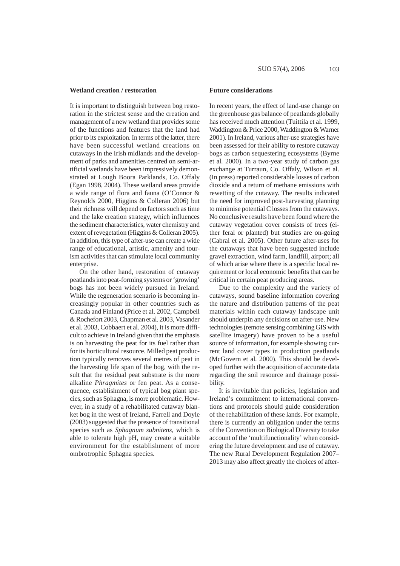#### **Wetland creation / restoration**

It is important to distinguish between bog restoration in the strictest sense and the creation and management of a new wetland that provides some of the functions and features that the land had prior to its exploitation. In terms of the latter, there have been successful wetland creations on cutaways in the Irish midlands and the development of parks and amenities centred on semi-artificial wetlands have been impressively demonstrated at Lough Boora Parklands, Co. Offaly (Egan 1998, 2004). These wetland areas provide a wide range of flora and fauna (O'Connor & Reynolds 2000, Higgins & Colleran 2006) but their richness will depend on factors such as time and the lake creation strategy, which influences the sediment characteristics, water chemistry and extent of revegetation (Higgins & Colleran 2005). In addition, this type of after-use can create a wide range of educational, artistic, amenity and tourism activities that can stimulate local community enterprise.

On the other hand, restoration of cutaway peatlands into peat-forming systems or 'growing' bogs has not been widely pursued in Ireland. While the regeneration scenario is becoming increasingly popular in other countries such as Canada and Finland (Price et al. 2002, Campbell & Rochefort 2003, Chapman et al. 2003, Vasander et al. 2003, Cobbaert et al. 2004), it is more difficult to achieve in Ireland given that the emphasis is on harvesting the peat for its fuel rather than for its horticultural resource. Milled peat production typically removes several metres of peat in the harvesting life span of the bog, with the result that the residual peat substrate is the more alkaline *Phragmites* or fen peat. As a consequence, establishment of typical bog plant species, such as Sphagna, is more problematic. However, in a study of a rehabilitated cutaway blanket bog in the west of Ireland, Farrell and Doyle (2003) suggested that the presence of transitional species such as *Sphagnum subnitens,* which is able to tolerate high pH, may create a suitable environment for the establishment of more ombrotrophic Sphagna species.

## **Future considerations**

In recent years, the effect of land-use change on the greenhouse gas balance of peatlands globally has received much attention (Tuittila et al. 1999, Waddington & Price 2000, Waddington & Warner 2001). In Ireland, various after-use strategies have been assessed for their ability to restore cutaway bogs as carbon sequestering ecosystems (Byrne et al*.* 2000). In a two-year study of carbon gas exchange at Turraun, Co. Offaly, Wilson et al. (In press) reported considerable losses of carbon dioxide and a return of methane emissions with rewetting of the cutaway. The results indicated the need for improved post-harvesting planning to minimise potential C losses from the cutaways. No conclusive results have been found where the cutaway vegetation cover consists of trees (either feral or planted) but studies are on-going (Cabral et al. 2005). Other future after-uses for the cutaways that have been suggested include gravel extraction, wind farm, landfill, airport; all of which arise where there is a specific local requirement or local economic benefits that can be critical in certain peat producing areas.

Due to the complexity and the variety of cutaways, sound baseline information covering the nature and distribution patterns of the peat materials within each cutaway landscape unit should underpin any decisions on after-use. New technologies (remote sensing combining GIS with satellite imagery) have proven to be a useful source of information, for example showing current land cover types in production peatlands (McGovern et al*.* 2000). This should be developed further with the acquisition of accurate data regarding the soil resource and drainage possibility.

It is inevitable that policies, legislation and Ireland's commitment to international conventions and protocols should guide consideration of the rehabilitation of these lands. For example, there is currently an obligation under the terms of the Convention on Biological Diversity to take account of the 'multifunctionality' when considering the future development and use of cutaway. The new Rural Development Regulation 2007– 2013 may also affect greatly the choices of after-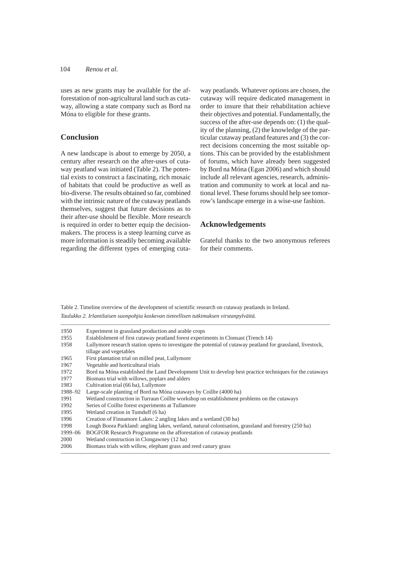uses as new grants may be available for the afforestation of non-agricultural land such as cutaway, allowing a state company such as Bord na Móna to eligible for these grants.

# **Conclusion**

A new landscape is about to emerge by 2050, a century after research on the after-uses of cutaway peatland was initiated (Table 2). The potential exists to construct a fascinating, rich mosaic of habitats that could be productive as well as bio-diverse. The results obtained so far, combined with the intrinsic nature of the cutaway peatlands themselves, suggest that future decisions as to their after-use should be flexible. More research is required in order to better equip the decisionmakers. The process is a steep learning curve as more information is steadily becoming available regarding the different types of emerging cutaway peatlands. Whatever options are chosen, the cutaway will require dedicated management in order to insure that their rehabilitation achieve their objectives and potential. Fundamentally, the success of the after-use depends on: (1) the quality of the planning, (2) the knowledge of the particular cutaway peatland features and (3) the correct decisions concerning the most suitable options. This can be provided by the establishment of forums, which have already been suggested by Bord na Móna (Egan 2006) and which should include all relevant agencies, research, administration and community to work at local and national level. These forums should help see tomorrow's landscape emerge in a wise-use fashion.

## **Acknowledgements**

Grateful thanks to the two anonymous referees for their comments.

Table 2. Timeline overview of the development of scientific research on cutaway peatlands in Ireland. *Taulukko 2. Irlantilaisen suonpohjia koskevan tieteellisen tutkimuksen virstanpylväitä.*

| 1950    | Experiment in grassland production and arable crops                                                         |
|---------|-------------------------------------------------------------------------------------------------------------|
| 1955    | Establishment of first cutaway peatland forest experiments in Clonsast (Trench 14)                          |
| 1958    | Lullymore research station opens to investigate the potential of cutaway peatland for grassland, livestock, |
|         | tillage and vegetables                                                                                      |
| 1965    | First plantation trial on milled peat, Lullymore                                                            |
| 1967    | Vegetable and horticultural trials                                                                          |
| 1972    | Bord na Móna established the Land Development Unit to develop best practice techniques for the cutaways     |
| 1977    | Biomass trial with willows, poplars and alders                                                              |
| 1983    | Cultivation trial (66 ha), Lullymore                                                                        |
| 1988–92 | Large-scale planting of Bord na Móna cutaways by Coillte (4000 ha)                                          |
| 1991    | Wetland construction in Turraun Coillte workshop on establishment problems on the cutaways                  |
| 1992    | Series of Coillte forest experiments at Tullamore                                                           |
| 1995    | Wetland creation in Tumduff (6 ha)                                                                          |
| 1996    | Creation of Finnamore Lakes: 2 angling lakes and a wetland (30 ha)                                          |
| 1998    | Lough Boora Parkland: angling lakes, wetland, natural colonisation, grassland and forestry (250 ha)         |
| 1999–06 | BOGFOR Research Programme on the afforestation of cutaway peatlands                                         |
| 2000    | Wetland construction in Clongawney (12 ha)                                                                  |
| 2006    | Biomass trials with willow, elephant grass and reed canary grass                                            |

–––––––––––––––––––––––––––––––––––––––––––––––––––––––––––––––––––––––––––––––––––––––––––––––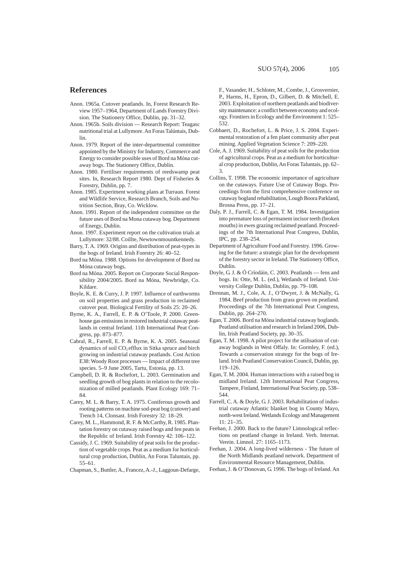- Anon. 1965a. Cutover peatlands. In, Forest Research Review 1957–1964, Department of Lands Forestry Division. The Stationery Office, Dublin, pp. 31–32.
- Anon. 1965b. Soils division Research Report: Teagasc nutritional trial at Lullymore. An Foras Talúntais, Dublin.
- Anon. 1979. Report of the inter-departmental committee appointed by the Ministry for Industry, Commerce and Energy to consider possible uses of Bord na Móna cutaway bogs. The Stationery Office, Dublin.
- Anon. 1980. Fertiliser requirements of reedswamp peat sites. In, Research Report 1980. Dept of Fisheries & Forestry, Dublin, pp. 7.
- Anon. 1985. Experiment working plans at Turraun. Forest and Wildlife Service, Research Branch, Soils and Nutrition Section, Bray, Co. Wicklow.
- Anon. 1991. Report of the independent committee on the future uses of Bord na Mona cutaway bog. Department of Energy, Dublin.
- Anon. 1997. Experiment report on the cultivation trials at Lullymore: 32/88. Coillte, Newtownmountkennedy.
- Barry, T. A. 1969. Origins and distribution of peat-types in the bogs of Ireland. Irish Forestry 26: 40–52.
- Bord na Móna. 1988. Options for development of Bord na Móna cutaway bogs.
- Bord na Móna. 2005. Report on Corporate Social Responsibility 2004/2005. Bord na Móna, Newbridge, Co. Kildare.
- Boyle, K. E. & Curry, J. P. 1997. Influence of earthworms on soil properties and grass production in reclaimed cutover peat. Biological Fertility of Soils 25: 20–26.
- Byrne, K. A., Farrell, E. P. & O'Toole, P. 2000. Greenhouse gas emissions in restored industrial cutaway peatlands in central Ireland. 11th International Peat Congress, pp. 873–877.
- Cabral, R., Farrell, E. P. & Byrne, K. A. 2005. Seasonal dynamics of soil CO<sub>2</sub> efflux in Sitka spruce and birch growing on industrial cutaway peatlands. Cost Action E38: Woody Root processes — Impact of different tree species. 5–9 June 2005, Tartu, Estonia, pp. 13.
- Campbell, D. R. & Rochefort, L. 2003. Germination and seedling growth of bog plants in relation to the recolonization of milled peatlands. Plant Ecology 169: 71– 84.
- Carey, M. L. & Barry, T. A. 1975. Coniferous growth and rooting patterns on machine sod-peat bog (cutover) and Trench 14, Clonsast. Irish Forestry 32: 18–29.
- Carey, M. L., Hammond, R. F. & McCarthy, R. 1985. Plantation forestry on cutaway raised bogs and fen peats in the Republic of Ireland. Irish Forestry 42: 106–122.
- Cassidy, J. C. 1969. Suitability of peat soils for the production of vegetable crops. Peat as a medium for horticultural crop production, Dublin, An Foras Taluntais, pp. 55–61.

Chapman, S., Buttler, A., Francez, A.-J., Laggoun-Defarge,

F., Vasander, H., Schloter, M., Combe, J., Grosvernier, P., Harms, H., Epron, D., Gilbert, D. & Mitchell, E. 2003. Exploitation of northern peatlands and biodiversity maintenance: a conflict between economy and ecology. Frontiers in Ecology and the Environment 1: 525– 532.

- Cobbaert, D., Rochefort, L. & Price, J. S. 2004. Experimental restoration of a fen plant community after peat mining. Applied Vegetation Science 7: 209–220.
- Cole, A. J. 1969. Suitability of peat soils for the production of agricultural crops. Peat as a medium for horticultural crop production, Dublin, An Foras Taluntais, pp. 62– 3.
- Collins, T. 1998. The economic importance of agriculture on the cutaways. Future Use of Cutaway Bogs. Proceedings from the first comprehensive conference on cutaway bogland rehabilitation, Lough Boora Parkland, Brosna Press, pp. 17–21.
- Daly, P. J., Farrell, C. & Egan, T. M. 1984. Investigation into premature loss of permanent incisor teeth (broken mouths) in ewes grazing reclaimed peatland. Proceedings of the 7th International Peat Congress, Dublin, IPC, pp. 238–254.
- Department of Agriculture Food and Forestry. 1996. Growing for the future: a strategic plan for the development of the forestry sector in Ireland. The Stationery Office, Dublin.
- Doyle, G. J. & Ó Críodáin, C. 2003. Peatlands fens and bogs. In: Otte, M. L. (ed.), Wetlands of Ireland. University College Dublin, Dublin, pp. 79–108.
- Drennan, M. J., Cole, A. J., O'Dwyer, J. & McNally, G. 1984. Beef production from grass grown on peatland. Proceedings of the 7th International Peat Congress, Dublin, pp. 264–270.
- Egan, T. 2006. Bord na Móna industrial cutaway boglands. Peatland utilisation and research in Ireland 2006, Dublin, Irish Peatland Society, pp. 30–35.
- Egan, T. M. 1998. A pilot project for the utilisation of cutaway boglands in West Offaly. In: Gormley, F. (ed.), Towards a conservation strategy for the bogs of Ireland. Irish Peatland Conservation Council, Dublin, pp. 119–126.
- Egan, T. M. 2004. Human interactions with a raised bog in midland Ireland. 12th International Peat Congress, Tampere, Finland, International Peat Society, pp. 538– 544.
- Farrell, C. A. & Doyle, G. J. 2003. Rehabilitation of industrial cutaway Atlantic blanket bog in County Mayo, north-west Ireland. Wetlands Ecology and Management 11: 21–35.
- Feehan, J. 2000. Back to the future? Limnological reflections on peatland change in Ireland. Verh. Internat. Verein. Limnol. 27: 1165–1173.
- Feehan, J. 2004. A long-lived wilderness The future of the North Midlands peatland network. Department of Environmental Resource Management, Dublin.
- Feehan, J. & O'Donovan, G. 1996. The bogs of Ireland. An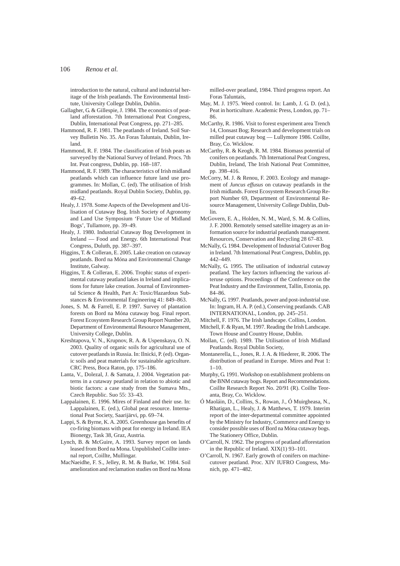introduction to the natural, cultural and industrial heritage of the Irish peatlands. The Environmental Institute, University College Dublin, Dublin.

- Gallagher, G. & Gillespie, J. 1984. The economics of peatland afforestation. 7th International Peat Congress, Dublin, International Peat Congress, pp. 271–285.
- Hammond, R. F. 1981. The peatlands of Ireland. Soil Survey Bulletin No. 35. An Foras Taluntais, Dublin, Ireland.
- Hammond, R. F. 1984. The classification of Irish peats as surveyed by the National Survey of Ireland. Procs. 7th Int. Peat congress, Dublin, pp. 168–187.
- Hammond, R. F. 1989. The characteristics of Irish midland peatlands which can influence future land use programmes. In: Mollan, C. (ed). The utilisation of Irish midland peatlands. Royal Dublin Society, Dublin, pp. 49–62.
- Healy, J. 1978. Some Aspects of the Development and Utilisation of Cutaway Bog. Irish Society of Agronomy and Land Use Symposium 'Future Use of Midland Bogs', Tullamore, pp. 39–49.
- Healy, J. 1980. Industrial Cutaway Bog Development in Ireland — Food and Energy. 6th International Peat Congress, Duluth, pp. 387–397.
- Higgins, T. & Colleran, E. 2005. Lake creation on cutaway peatlands. Bord na Móna and Environmental Change Institute, Galway.
- Higgins, T. & Colleran, E. 2006. Trophic status of experimental cutaway peatland lakes in Ireland and implications for future lake creation. Journal of Environmental Science & Health, Part A: Toxic/Hazardous Substances & Environmental Engineering 41: 849–863.
- Jones, S. M. & Farrell, E. P. 1997. Survey of plantation forests on Bord na Móna cutaway bog. Final report. Forest Ecosystem Research Group Report Number 20, Department of Environmental Resource Management, University College, Dublin.
- Kreshtapova, V. N., Krupnov, R. A. & Uspenskaya, O. N. 2003. Quality of organic soils for agricultural use of cutover peatlands in Russia. In: Ilnicki, P. (ed). Organic soils and peat materials for sustainable agriculture. CRC Press, Boca Raton, pp. 175–186.
- Lanta, V., Dolezal, J. & Samata, J. 2004. Vegetation patterns in a cutaway peatland in relation to abiotic and biotic factors: a case study from the Sumava Mts., Czech Republic. Suo 55: 33–43.
- Lappalainen, E. 1996. Mires of Finland and their use. In: Lappalainen, E. (ed.), Global peat resource. International Peat Society, Saarijärvi, pp. 69–74.
- Lappi, S. & Byrne, K. A. 2005. Greenhouse gas benefits of co-firing biomass with peat for energy in Ireland. IEA Bionergy, Task 38, Graz, Austria.
- Lynch, B. & McGuire, A. 1993. Survey report on lands leased from Bord na Mona. Unpublished Coillte internal report, Coillte, Mullingar.
- MacNaeidhe, F. S., Jelley, R. M. & Burke, W. 1984. Soil amelioration and reclamation studies on Bord na Mona

milled-over peatland, 1984. Third progress report. An Foras Taluntais,

- May, M. J. 1975. Weed control. In: Lamb, J. G. D. (ed.), Peat in horticulture. Academic Press, London, pp. 71– 86.
- McCarthy, R. 1986. Visit to forest experiment area Trench 14, Clonsast Bog; Research and development trials on milled peat cutaway bog — Lullymore 1986. Coillte, Bray, Co. Wicklow.
- McCarthy, R. & Keogh, R. M. 1984. Biomass potential of conifers on peatlands. 7th International Peat Congress, Dublin, Ireland, The Irish National Peat Committee, pp. 398–416.
- McCorry, M. J. & Renou, F. 2003. Ecology and management of *Juncus effusus* on cutaway peatlands in the Irish midlands. Forest Ecosystem Research Group Report Number 69, Department of Environmental Resource Management, University College Dublin, Dublin.
- McGovern, E. A., Holden, N. M., Ward, S. M. & Collins, J. F. 2000. Remotely sensed satellite imagery as an information source for industrial peatlands management. Resources, Conservation and Recycling 28 67–83.
- McNally, G. 1984. Development of Industrial Cutover Bog in Ireland. 7th International Peat Congress, Dublin, pp. 442–449.
- McNally, G. 1995. The utilisation of industrial cutaway peatland. The key factors influencing the various afteruse options. Proceedings of the Conference on the Peat Industry and the Environment, Tallin, Estonia, pp. 84–86.
- McNally, G. 1997. Peatlands, power and post-industrial use. In: Ingram, H. A. P. (ed.), Conserving peatlands. CAB INTERNATIONAL, London, pp. 245–251.
- Mitchell, F. 1976. The Irish landscape. Collins, London.
- Mitchell, F. & Ryan, M. 1997. Reading the Irish Landscape. Town House and Country House, Dublin.
- Mollan, C. (ed). 1989. The Utilisation of Irish Midland Peatlands. Royal Dublin Society,
- Montanerella, L., Jones, R. J. A. & Hiederer, R. 2006. The distribution of peatland in Europe. Mires and Peat 1:  $1 - 10$ .
- Murphy, G. 1991. Workshop on establishment problems on the BNM cutaway bogs. Report and Recommendations. Coillte Research Report No. 20/91 (R). Coillte Teoranta, Bray, Co. Wicklow.
- Ó Maoláin, D., Collins, S., Rowan, J., Ó Muirgheasa, N., Rhatigan, L., Healy, J. & Matthews, T. 1979. Interim report of the inter-departmental committee appointed by the Ministry for Industry, Commerce and Energy to consider possible uses of Bord na Móna cutaway bogs. The Stationery Office, Dublin.
- O'Carroll, N. 1962. The progress of peatland afforestation in the Republic of Ireland. XIX(1) 93–101.
- O'Carroll, N. 1967. Early growth of conifers on machinecutover peatland. Proc. XIV IUFRO Congress, Munich, pp. 471–482.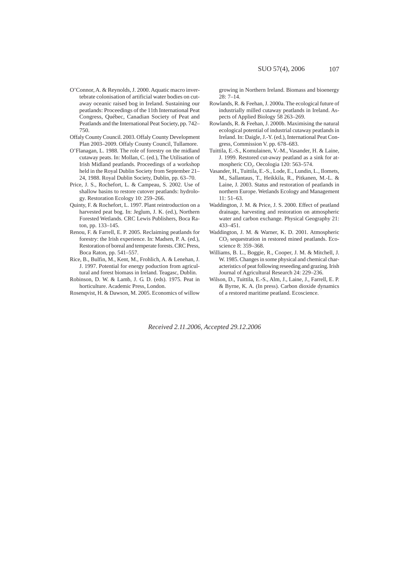- O'Connor, A. & Reynolds, J. 2000. Aquatic macro invertebrate colonisation of artificial water bodies on cutaway oceanic raised bog in Ireland. Sustaining our peatlands: Proceedings of the 11th International Peat Congress, Québec, Canadian Society of Peat and Peatlands and the International Peat Society, pp. 742– 750.
- Offaly County Council. 2003. Offaly County Development Plan 2003–2009. Offaly County Council, Tullamore.
- O'Flanagan, L. 1988. The role of forestry on the midland cutaway peats. In: Mollan, C. (ed.), The Utilisation of Irish Midland peatlands. Proceedings of a workshop held in the Royal Dublin Society from September 21– 24, 1988. Royal Dublin Society, Dublin, pp. 63–70.
- Price, J. S., Rochefort, L. & Campeau, S. 2002. Use of shallow basins to restore cutover peatlands: hydrology. Restoration Ecology 10: 259–266.
- Quinty, F. & Rochefort, L. 1997. Plant reintroduction on a harvested peat bog. In: Jeglum, J. K. (ed.), Northern Forested Wetlands. CRC Lewis Publishers, Boca Raton, pp. 133–145.
- Renou, F. & Farrell, E. P. 2005. Reclaiming peatlands for forestry: the Irish experience. In: Madsen, P. A. (ed.), Restoration of boreal and temperate forests. CRC Press, Boca Raton, pp. 541–557.
- Rice, B., Bulfin, M., Kent, M., Frohlich, A. & Lenehan, J. J. 1997. Potential for energy poduction from agricultural and forest biomass in Ireland. Teagasc, Dublin.
- Robinson, D. W. & Lamb, J. G. D. (eds). 1975. Peat in horticulture. Academic Press, London.
- Rosenqvist, H. & Dawson, M. 2005. Economics of willow

growing in Northern Ireland. Biomass and bioenergy 28: 7–14.

- Rowlands, R. & Feehan, J. 2000a. The ecological future of industrially milled cutaway peatlands in Ireland. Aspects of Applied Biology 58 263–269.
- Rowlands, R. & Feehan, J. 2000b. Maximising the natural ecological potential of industrial cutaway peatlands in Ireland. In: Daigle, J.-Y. (ed.), International Peat Congress, Commission V. pp. 678–683.
- Tuittila, E.-S., Komulainen, V.-M., Vasander, H. & Laine, J. 1999. Restored cut-away peatland as a sink for atmospheric CO<sub>2</sub>. Oecologia 120: 563-574.
- Vasander, H., Tuittila, E.-S., Lode, E., Lundin, L., Ilomets, M., Sallantaus, T., Heikkila, R., Pitkanen, M.-L. & Laine, J. 2003. Status and restoration of peatlands in northern Europe. Wetlands Ecology and Management 11: 51–63.
- Waddington, J. M. & Price, J. S. 2000. Effect of peatland drainage, harvesting and restoration on atmospheric water and carbon exchange. Physical Geography 21: 433–451.
- Waddington, J. M. & Warner, K. D. 2001. Atmospheric  $CO<sub>2</sub>$  sequestration in restored mined peatlands. Ecoscience 8: 359–368.
- Williams, B. L., Boggie, R., Cooper, J. M. & Mitchell, J. W. 1985. Changes in some physical and chemical characteristics of peat following reseeding and grazing. Irish Journal of Agricultural Research 24: 229–236.
- Wilson, D., Tuittila, E.-S., Alm, J., Laine, J., Farrell, E. P. & Byrne, K. A. (In press). Carbon dioxide dynamics of a restored maritime peatland. Ecoscience.

*Received 2.11.2006, Accepted 29.12.2006*